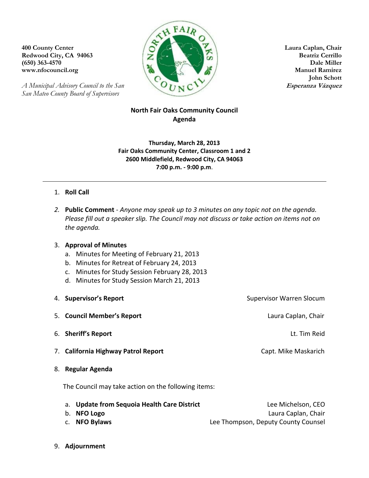*A Municipal Advisory Council to the San* **Esperanza Vázquez** *San Mateo County Board of Supervisors*



**John Schott**

## **North Fair Oaks Community Council Agenda**

**Thursday, March 28, 2013 Fair Oaks Community Center, Classroom 1 and 2 2600 Middlefield, Redwood City, CA 94063 7:00 p.m. - 9:00 p.m**.

## 1. **Roll Call**

*2.* **Public Comment** - *Anyone may speak up to 3 minutes on any topic not on the agenda. Please fill out a speaker slip. The Council may not discuss or take action on items not on the agenda.*

## 3. **Approval of Minutes**

- a. Minutes for Meeting of February 21, 2013
- b. Minutes for Retreat of February 24, 2013
- c. Minutes for Study Session February 28, 2013
- d. Minutes for Study Session March 21, 2013
- 4. **Supervisor's Report Supervisor Warren Slocum** Supervisor Warren Slocum 5. **Council Member's Report** Laura Caplan, Chair 6. **Sheriff's Report** Lt. Tim Reid 7. **California Highway Patrol Report Capt. Mike Maskarich** Capt. Mike Maskarich 8. **Regular Agenda** The Council may take action on the following items:

| a. Update from Sequoia Health Care District | Lee Michelson, CEO                  |
|---------------------------------------------|-------------------------------------|
| b. NFO Logo                                 | Laura Caplan, Chair                 |
| c. NFO Bylaws                               | Lee Thompson, Deputy County Counsel |

9. **Adjournment**